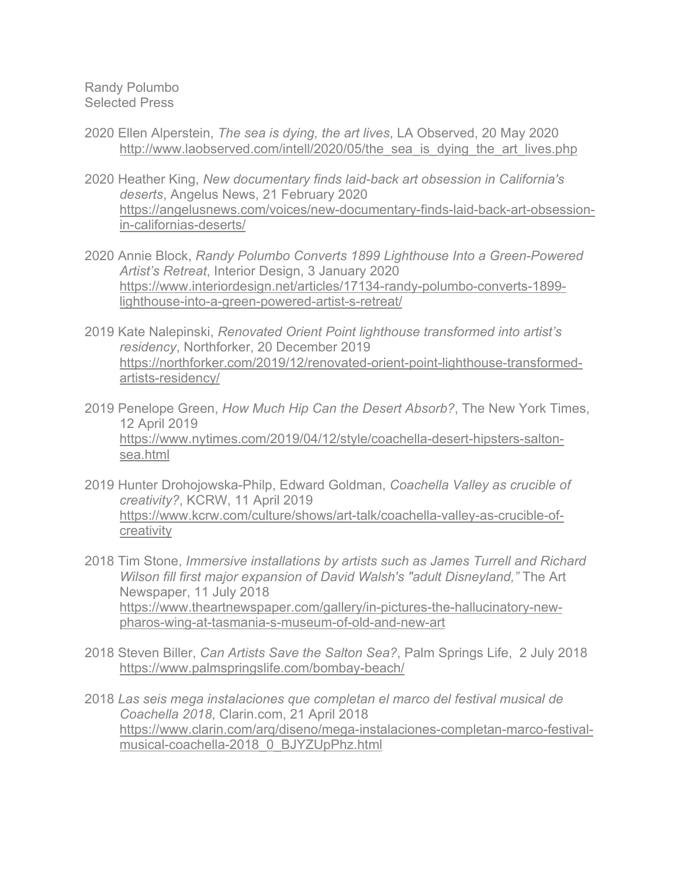Randy Polumbo Selected Press

- 2020 Ellen Alperstein, *The sea is dying, the art lives*, LA Observed, 20 May 2020 http://www.laobserved.com/intell/2020/05/the sea is dying the art lives.php
- 2020 Heather King, *New documentary finds laid-back art obsession in California's deserts*, Angelus News, 21 February 2020 https://angelusnews.com/voices/new-documentary-finds-laid-back-art-obsessionin-californias-deserts/
- 2020 Annie Block, *Randy Polumbo Converts 1899 Lighthouse Into a Green-Powered Artist's Retreat*, Interior Design, 3 January 2020 https://www.interiordesign.net/articles/17134-randy-polumbo-converts-1899 lighthouse-into-a-green-powered-artist-s-retreat/
- 2019 Kate Nalepinski, *Renovated Orient Point lighthouse transformed into artist's residency*, Northforker, 20 December 2019 https://northforker.com/2019/12/renovated-orient-point-lighthouse-transformedartists-residency/
- 2019 Penelope Green, *How Much Hip Can the Desert Absorb?*, The New York Times, 12 April 2019 https://www.nytimes.com/2019/04/12/style/coachella-desert-hipsters-saltonsea.html
- 2019 Hunter Drohojowska-Philp, Edward Goldman, *Coachella Valley as crucible of creativity?*, KCRW, 11 April 2019 https://www.kcrw.com/culture/shows/art-talk/coachella-valley-as-crucible-ofcreativity
- 2018 Tim Stone, *Immersive installations by artists such as James Turrell and Richard Wilson fill first major expansion of David Walsh's "adult Disneyland,"* The Art Newspaper, 11 July 2018 https://www.theartnewspaper.com/gallery/in-pictures-the-hallucinatory-newpharos-wing-at-tasmania-s-museum-of-old-and-new-art
- 2018 Steven Biller, *Can Artists Save the Salton Sea?*, Palm Springs Life, 2 July 2018 https://www.palmspringslife.com/bombay-beach/
- 2018 *Las seis mega instalaciones que completan el marco del festival musical de Coachella 2018*, Clarin.com, 21 April 2018 https://www.clarin.com/arq/diseno/mega-instalaciones-completan-marco-festivalmusical-coachella-2018\_0\_BJYZUpPhz.html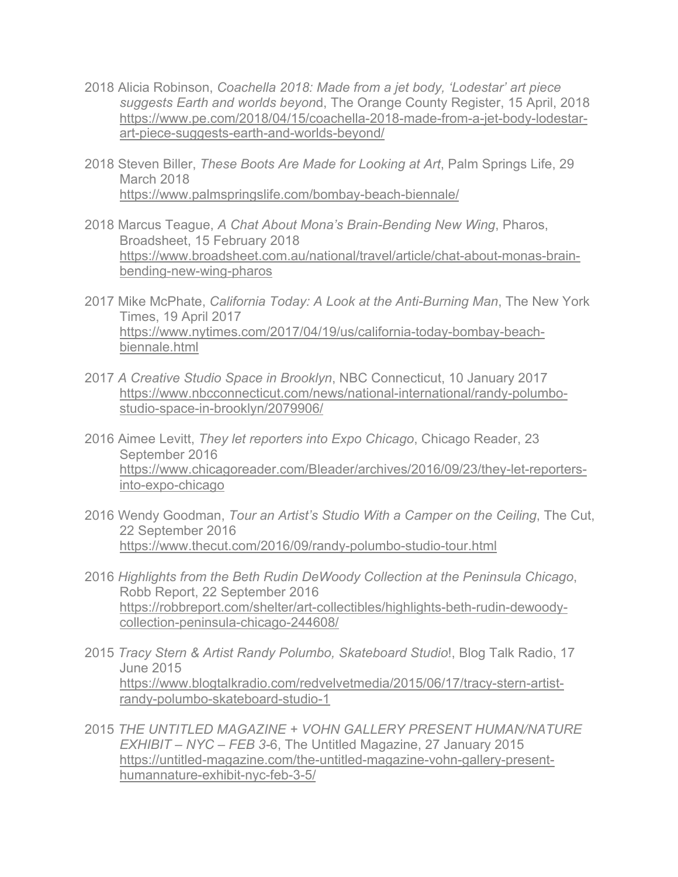- 2018 Alicia Robinson, *Coachella 2018: Made from a jet body, 'Lodestar' art piece suggests Earth and worlds beyon*d, The Orange County Register, 15 April, 2018 https://www.pe.com/2018/04/15/coachella-2018-made-from-a-jet-body-lodestarart-piece-suggests-earth-and-worlds-beyond/
- 2018 Steven Biller, *These Boots Are Made for Looking at Art*, Palm Springs Life, 29 March 2018 https://www.palmspringslife.com/bombay-beach-biennale/
- 2018 Marcus Teague, *A Chat About Mona's Brain-Bending New Wing*, Pharos, Broadsheet, 15 February 2018 https://www.broadsheet.com.au/national/travel/article/chat-about-monas-brainbending-new-wing-pharos
- 2017 Mike McPhate, *California Today: A Look at the Anti-Burning Man*, The New York Times, 19 April 2017 https://www.nytimes.com/2017/04/19/us/california-today-bombay-beachbiennale.html
- 2017 *A Creative Studio Space in Brooklyn*, NBC Connecticut, 10 January 2017 https://www.nbcconnecticut.com/news/national-international/randy-polumbostudio-space-in-brooklyn/2079906/
- 2016 Aimee Levitt, *They let reporters into Expo Chicago*, Chicago Reader, 23 September 2016 https://www.chicagoreader.com/Bleader/archives/2016/09/23/they-let-reportersinto-expo-chicago
- 2016 Wendy Goodman, *Tour an Artist's Studio With a Camper on the Ceiling*, The Cut, 22 September 2016 https://www.thecut.com/2016/09/randy-polumbo-studio-tour.html
- 2016 *Highlights from the Beth Rudin DeWoody Collection at the Peninsula Chicago*, Robb Report, 22 September 2016 https://robbreport.com/shelter/art-collectibles/highlights-beth-rudin-dewoodycollection-peninsula-chicago-244608/
- 2015 *Tracy Stern & Artist Randy Polumbo, Skateboard Studio*!, Blog Talk Radio, 17 June 2015 https://www.blogtalkradio.com/redvelvetmedia/2015/06/17/tracy-stern-artistrandy-polumbo-skateboard-studio-1
- 2015 *THE UNTITLED MAGAZINE + VOHN GALLERY PRESENT HUMAN/NATURE EXHIBIT – NYC – FEB 3-*6, The Untitled Magazine, 27 January 2015 https://untitled-magazine.com/the-untitled-magazine-vohn-gallery-presenthumannature-exhibit-nyc-feb-3-5/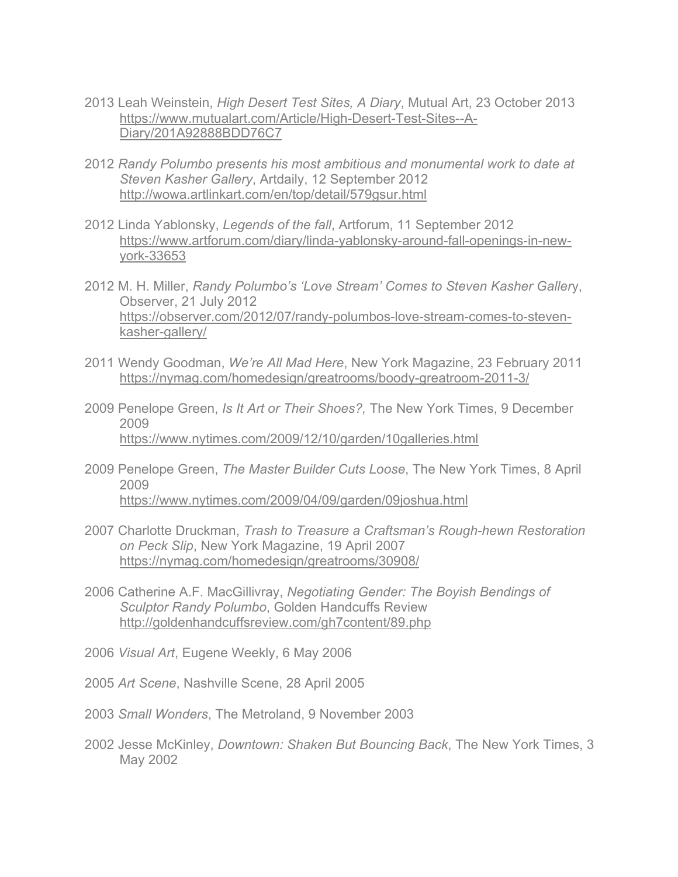- 2013 Leah Weinstein, *High Desert Test Sites, A Diary*, Mutual Art, 23 October 2013 https://www.mutualart.com/Article/High-Desert-Test-Sites--A-Diary/201A92888BDD76C7
- 2012 *Randy Polumbo presents his most ambitious and monumental work to date at Steven Kasher Gallery*, Artdaily, 12 September 2012 http://wowa.artlinkart.com/en/top/detail/579gsur.html
- 2012 Linda Yablonsky, *Legends of the fall*, Artforum, 11 September 2012 https://www.artforum.com/diary/linda-yablonsky-around-fall-openings-in-newyork-33653
- 2012 M. H. Miller, *Randy Polumbo's 'Love Stream' Comes to Steven Kasher Galler*y, Observer, 21 July 2012 https://observer.com/2012/07/randy-polumbos-love-stream-comes-to-stevenkasher-gallery/
- 2011 Wendy Goodman, *We're All Mad Here*, New York Magazine, 23 February 2011 https://nymag.com/homedesign/greatrooms/boody-greatroom-2011-3/
- 2009 Penelope Green, *Is It Art or Their Shoes?,* The New York Times, 9 December 2009 https://www.nytimes.com/2009/12/10/garden/10galleries.html
- 2009 Penelope Green, *The Master Builder Cuts Loose*, The New York Times, 8 April 2009 https://www.nytimes.com/2009/04/09/garden/09joshua.html
- 2007 Charlotte Druckman, *Trash to Treasure a Craftsman's Rough-hewn Restoration on Peck Slip*, New York Magazine, 19 April 2007 https://nymag.com/homedesign/greatrooms/30908/
- 2006 Catherine A.F. MacGillivray, *Negotiating Gender: The Boyish Bendings of Sculptor Randy Polumbo*, Golden Handcuffs Review http://goldenhandcuffsreview.com/gh7content/89.php
- 2006 *Visual Art*, Eugene Weekly, 6 May 2006
- 2005 *Art Scene*, Nashville Scene, 28 April 2005
- 2003 *Small Wonders*, The Metroland, 9 November 2003
- 2002 Jesse McKinley, *Downtown: Shaken But Bouncing Back*, The New York Times, 3 May 2002